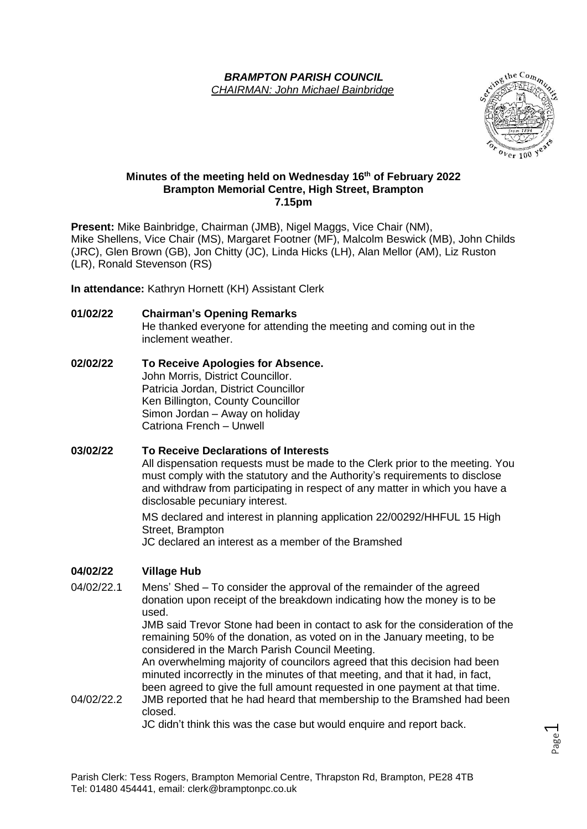### *BRAMPTON PARISH COUNCIL CHAIRMAN: John Michael Bainbridge*



#### **Minutes of the meeting held on Wednesday 16 th of February 2022 Brampton Memorial Centre, High Street, Brampton 7.15pm**

**Present:** Mike Bainbridge, Chairman (JMB), Nigel Maggs, Vice Chair (NM), Mike Shellens, Vice Chair (MS), Margaret Footner (MF), Malcolm Beswick (MB), John Childs (JRC), Glen Brown (GB), Jon Chitty (JC), Linda Hicks (LH), Alan Mellor (AM), Liz Ruston (LR), Ronald Stevenson (RS)

**In attendance:** Kathryn Hornett (KH) Assistant Clerk

**01/02/22 Chairman's Opening Remarks**

He thanked everyone for attending the meeting and coming out in the inclement weather.

**02/02/22 To Receive Apologies for Absence.** John Morris, District Councillor. Patricia Jordan, District Councillor Ken Billington, County Councillor Simon Jordan – Away on holiday Catriona French – Unwell

**03/02/22 To Receive Declarations of Interests** All dispensation requests must be made to the Clerk prior to the meeting. You must comply with the statutory and the Authority's requirements to disclose and withdraw from participating in respect of any matter in which you have a disclosable pecuniary interest.

MS declared and interest in planning application 22/00292/HHFUL 15 High Street, Brampton

JC declared an interest as a member of the Bramshed

# **04/02/22 Village Hub**

04/02/22.1 Mens' Shed – To consider the approval of the remainder of the agreed donation upon receipt of the breakdown indicating how the money is to be used.

JMB said Trevor Stone had been in contact to ask for the consideration of the remaining 50% of the donation, as voted on in the January meeting, to be considered in the March Parish Council Meeting.

An overwhelming majority of councilors agreed that this decision had been minuted incorrectly in the minutes of that meeting, and that it had, in fact, been agreed to give the full amount requested in one payment at that time.

04/02/22.2 JMB reported that he had heard that membership to the Bramshed had been closed.

JC didn't think this was the case but would enquire and report back.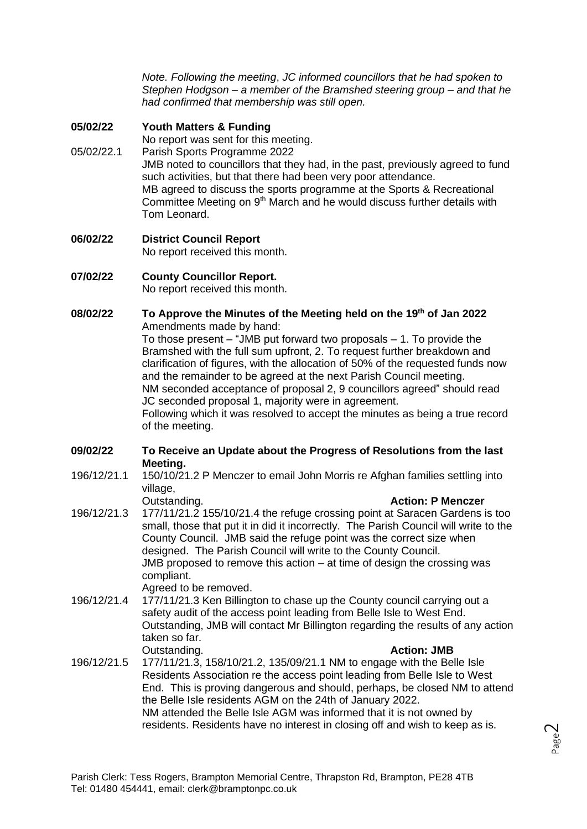*Note. Following the meeting*, *JC informed councillors that he had spoken to Stephen Hodgson – a member of the Bramshed steering group – and that he had confirmed that membership was still open.*

## **05/02/22 Youth Matters & Funding**

No report was sent for this meeting.

- 05/02/22.1 Parish Sports Programme 2022 JMB noted to councillors that they had, in the past, previously agreed to fund such activities, but that there had been very poor attendance. MB agreed to discuss the sports programme at the Sports & Recreational Committee Meeting on  $9<sup>th</sup>$  March and he would discuss further details with Tom Leonard.
- **06/02/22 District Council Report** No report received this month.

# **07/02/22 County Councillor Report.**

No report received this month.

**08/02/22 To Approve the Minutes of the Meeting held on the 19 th of Jan 2022** Amendments made by hand:

To those present  $-$  "JMB put forward two proposals  $-1$ . To provide the Bramshed with the full sum upfront, 2. To request further breakdown and clarification of figures, with the allocation of 50% of the requested funds now and the remainder to be agreed at the next Parish Council meeting. NM seconded acceptance of proposal 2, 9 councillors agreed" should read JC seconded proposal 1, majority were in agreement. Following which it was resolved to accept the minutes as being a true record

of the meeting.

### **09/02/22 To Receive an Update about the Progress of Resolutions from the last Meeting.**

- 196/12/21.1 150/10/21.2 P Menczer to email John Morris re Afghan families settling into village,
- Outstanding. **Action: P Menczer** 196/12/21.3 177/11/21.2 155/10/21.4 the refuge crossing point at Saracen Gardens is too small, those that put it in did it incorrectly. The Parish Council will write to the County Council. JMB said the refuge point was the correct size when designed. The Parish Council will write to the County Council. JMB proposed to remove this action – at time of design the crossing was compliant. Agreed to be removed.
- 196/12/21.4 177/11/21.3 Ken Billington to chase up the County council carrying out a safety audit of the access point leading from Belle Isle to West End. Outstanding, JMB will contact Mr Billington regarding the results of any action taken so far. Outstanding. **Action: JMB**
- 196/12/21.5 177/11/21.3, 158/10/21.2, 135/09/21.1 NM to engage with the Belle Isle Residents Association re the access point leading from Belle Isle to West End. This is proving dangerous and should, perhaps, be closed NM to attend the Belle Isle residents AGM on the 24th of January 2022. NM attended the Belle Isle AGM was informed that it is not owned by residents. Residents have no interest in closing off and wish to keep as is.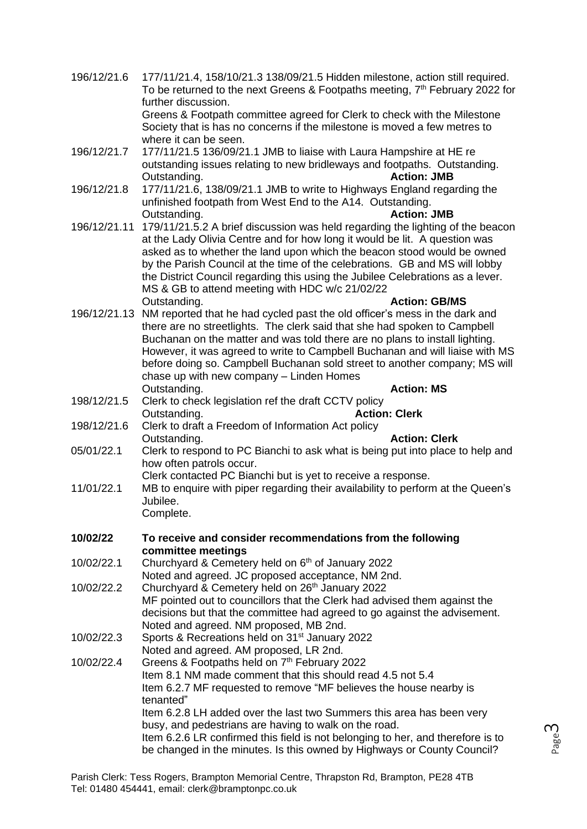| 196/12/21.6  | 177/11/21.4, 158/10/21.3 138/09/21.5 Hidden milestone, action still required.<br>To be returned to the next Greens & Footpaths meeting, 7 <sup>th</sup> February 2022 for<br>further discussion.<br>Greens & Footpath committee agreed for Clerk to check with the Milestone<br>Society that is has no concerns if the milestone is moved a few metres to                                                                                                                                           |
|--------------|-----------------------------------------------------------------------------------------------------------------------------------------------------------------------------------------------------------------------------------------------------------------------------------------------------------------------------------------------------------------------------------------------------------------------------------------------------------------------------------------------------|
| 196/12/21.7  | where it can be seen.<br>177/11/21.5 136/09/21.1 JMB to liaise with Laura Hampshire at HE re<br>outstanding issues relating to new bridleways and footpaths. Outstanding.<br><b>Action: JMB</b><br>Outstanding.                                                                                                                                                                                                                                                                                     |
| 196/12/21.8  | 177/11/21.6, 138/09/21.1 JMB to write to Highways England regarding the<br>unfinished footpath from West End to the A14. Outstanding.<br><b>Action: JMB</b><br>Outstanding.                                                                                                                                                                                                                                                                                                                         |
| 196/12/21.11 | 179/11/21.5.2 A brief discussion was held regarding the lighting of the beacon<br>at the Lady Olivia Centre and for how long it would be lit. A question was<br>asked as to whether the land upon which the beacon stood would be owned<br>by the Parish Council at the time of the celebrations. GB and MS will lobby<br>the District Council regarding this using the Jubilee Celebrations as a lever.<br>MS & GB to attend meeting with HDC w/c 21/02/22<br>Outstanding.<br><b>Action: GB/MS</b> |
|              | 196/12/21.13 NM reported that he had cycled past the old officer's mess in the dark and<br>there are no streetlights. The clerk said that she had spoken to Campbell<br>Buchanan on the matter and was told there are no plans to install lighting.<br>However, it was agreed to write to Campbell Buchanan and will liaise with MS<br>before doing so. Campbell Buchanan sold street to another company; MS will<br>chase up with new company - Linden Homes<br><b>Action: MS</b><br>Outstanding.  |
| 198/12/21.5  | Clerk to check legislation ref the draft CCTV policy                                                                                                                                                                                                                                                                                                                                                                                                                                                |
| 198/12/21.6  | <b>Action: Clerk</b><br>Outstanding.<br>Clerk to draft a Freedom of Information Act policy                                                                                                                                                                                                                                                                                                                                                                                                          |
| 05/01/22.1   | Outstanding.<br><b>Action: Clerk</b><br>Clerk to respond to PC Bianchi to ask what is being put into place to help and<br>how often patrols occur.<br>Clerk contacted PC Bianchi but is yet to receive a response.                                                                                                                                                                                                                                                                                  |
| 11/01/22.1   | MB to enquire with piper regarding their availability to perform at the Queen's<br>Jubilee.<br>Complete.                                                                                                                                                                                                                                                                                                                                                                                            |
| 10/02/22     | To receive and consider recommendations from the following                                                                                                                                                                                                                                                                                                                                                                                                                                          |
| 10/02/22.1   | committee meetings<br>Churchyard & Cemetery held on 6 <sup>th</sup> of January 2022<br>Noted and agreed. JC proposed acceptance, NM 2nd.                                                                                                                                                                                                                                                                                                                                                            |
| 10/02/22.2   | Churchyard & Cemetery held on 26th January 2022<br>MF pointed out to councillors that the Clerk had advised them against the<br>decisions but that the committee had agreed to go against the advisement.<br>Noted and agreed. NM proposed, MB 2nd.                                                                                                                                                                                                                                                 |
| 10/02/22.3   | Sports & Recreations held on 31 <sup>st</sup> January 2022<br>Noted and agreed. AM proposed, LR 2nd.                                                                                                                                                                                                                                                                                                                                                                                                |
| 10/02/22.4   | Greens & Footpaths held on 7th February 2022<br>Item 8.1 NM made comment that this should read 4.5 not 5.4<br>Item 6.2.7 MF requested to remove "MF believes the house nearby is<br>tenanted"<br>Item 6.2.8 LH added over the last two Summers this area has been very<br>busy, and pedestrians are having to walk on the road.<br>Item 6.2.6 LR confirmed this field is not belonging to her, and therefore is to                                                                                  |
|              | be changed in the minutes. Is this owned by Highways or County Council?                                                                                                                                                                                                                                                                                                                                                                                                                             |

Page ന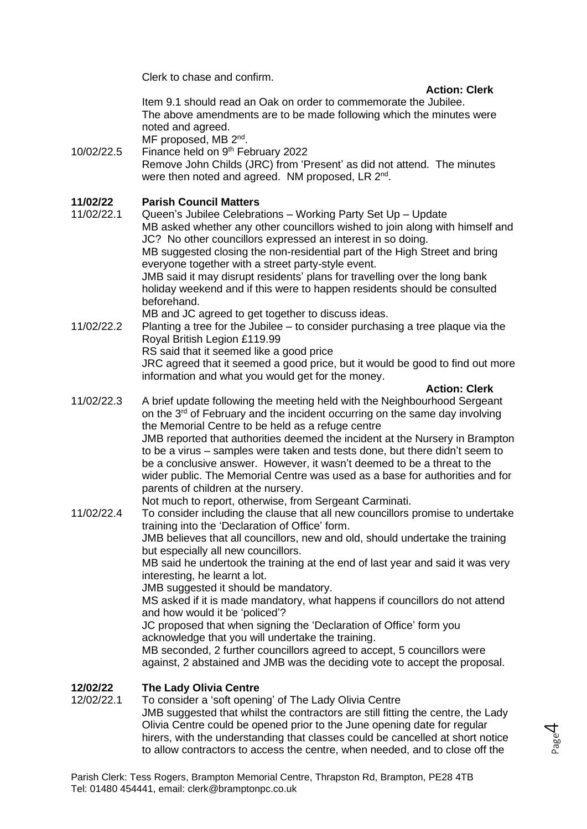Clerk to chase and confirm.

### **Action: Clerk**

Item 9.1 should read an Oak on order to commemorate the Jubilee. The above amendments are to be made following which the minutes were noted and agreed.

MF proposed, MB 2<sup>nd</sup>.

10/02/22.5 Finance held on  $9<sup>th</sup>$  February 2022 Remove John Childs (JRC) from 'Present' as did not attend. The minutes were then noted and agreed. NM proposed, LR 2<sup>nd</sup>.

# **11/02/22 Parish Council Matters**

- 11/02/22.1 Queen's Jubilee Celebrations Working Party Set Up Update MB asked whether any other councillors wished to join along with himself and JC? No other councillors expressed an interest in so doing. MB suggested closing the non-residential part of the High Street and bring everyone together with a street party-style event. JMB said it may disrupt residents' plans for travelling over the long bank holiday weekend and if this were to happen residents should be consulted beforehand. MB and JC agreed to get together to discuss ideas.
- 11/02/22.2 Planting a tree for the Jubilee to consider purchasing a tree plaque via the Royal British Legion £119.99 RS said that it seemed like a good price JRC agreed that it seemed a good price, but it would be good to find out more information and what you would get for the money.

**Action: Clerk**

Page 4

- 11/02/22.3 A brief update following the meeting held with the Neighbourhood Sergeant on the 3<sup>rd</sup> of February and the incident occurring on the same day involving the Memorial Centre to be held as a refuge centre JMB reported that authorities deemed the incident at the Nursery in Brampton to be a virus – samples were taken and tests done, but there didn't seem to be a conclusive answer. However, it wasn't deemed to be a threat to the wider public. The Memorial Centre was used as a base for authorities and for parents of children at the nursery. Not much to report, otherwise, from Sergeant Carminati.
- 11/02/22.4 To consider including the clause that all new councillors promise to undertake training into the 'Declaration of Office' form. JMB believes that all councillors, new and old, should undertake the training but especially all new councillors. MB said he undertook the training at the end of last year and said it was very interesting, he learnt a lot. JMB suggested it should be mandatory. MS asked if it is made mandatory, what happens if councillors do not attend and how would it be 'policed'? JC proposed that when signing the 'Declaration of Office' form you acknowledge that you will undertake the training.

MB seconded, 2 further councillors agreed to accept, 5 councillors were against, 2 abstained and JMB was the deciding vote to accept the proposal.

# **12/02/22 The Lady Olivia Centre**

12/02/22.1 To consider a 'soft opening' of The Lady Olivia Centre JMB suggested that whilst the contractors are still fitting the centre, the Lady Olivia Centre could be opened prior to the June opening date for regular hirers, with the understanding that classes could be cancelled at short notice to allow contractors to access the centre, when needed, and to close off the